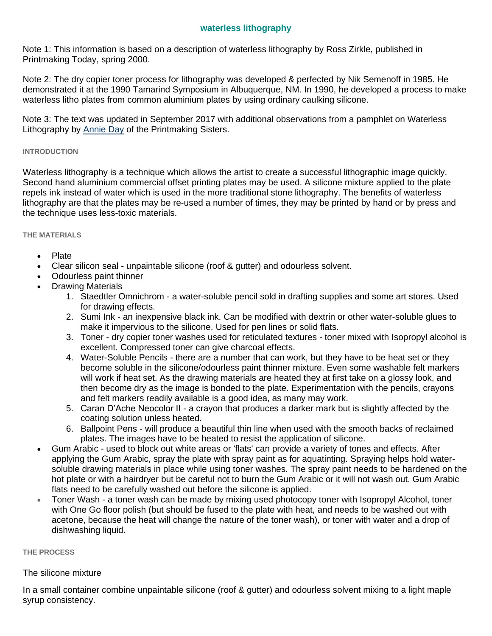# **waterless lithography**

Note 1: This information is based on a description of waterless lithography by Ross Zirkle, published in Printmaking Today, spring 2000.

Note 2: The dry copier toner process for lithography was developed & perfected by Nik Semenoff in 1985. He demonstrated it at the 1990 Tamarind Symposium in Albuquerque, NM. In 1990, he developed a process to make waterless litho plates from common aluminium plates by using ordinary caulking silicone.

Note 3: The text was updated in September 2017 with additional observations from a pamphlet on Waterless Lithography by [Annie Day](https://www.annieday.com.au/) of the Printmaking Sisters.

#### **INTRODUCTION**

Waterless lithography is a technique which allows the artist to create a successful lithographic image quickly. Second hand aluminium commercial offset printing plates may be used. A silicone mixture applied to the plate repels ink instead of water which is used in the more traditional stone lithography. The benefits of waterless lithography are that the plates may be re-used a number of times, they may be printed by hand or by press and the technique uses less-toxic materials.

#### **THE MATERIALS**

- Plate
- Clear silicon seal unpaintable silicone (roof & gutter) and odourless solvent.
- Odourless paint thinner
- Drawing Materials
	- 1. Staedtler Omnichrom a water-soluble pencil sold in drafting supplies and some art stores. Used for drawing effects.
	- 2. Sumi Ink an inexpensive black ink. Can be modified with dextrin or other water-soluble glues to make it impervious to the silicone. Used for pen lines or solid flats.
	- 3. Toner dry copier toner washes used for reticulated textures toner mixed with Isopropyl alcohol is excellent. Compressed toner can give charcoal effects.
	- 4. Water-Soluble Pencils there are a number that can work, but they have to be heat set or they become soluble in the silicone/odourless paint thinner mixture. Even some washable felt markers will work if heat set. As the drawing materials are heated they at first take on a glossy look, and then become dry as the image is bonded to the plate. Experimentation with the pencils, crayons and felt markers readily available is a good idea, as many may work.
	- 5. Caran D'Ache Neocolor II a crayon that produces a darker mark but is slightly affected by the coating solution unless heated.
	- 6. Ballpoint Pens will produce a beautiful thin line when used with the smooth backs of reclaimed plates. The images have to be heated to resist the application of silicone.
- Gum Arabic used to block out white areas or 'flats' can provide a variety of tones and effects. After applying the Gum Arabic, spray the plate with spray paint as for aquatinting. Spraying helps hold watersoluble drawing materials in place while using toner washes. The spray paint needs to be hardened on the hot plate or with a hairdryer but be careful not to burn the Gum Arabic or it will not wash out. Gum Arabic flats need to be carefully washed out before the silicone is applied.
- Toner Wash a toner wash can be made by mixing used photocopy toner with Isopropyl Alcohol, toner with One Go floor polish (but should be fused to the plate with heat, and needs to be washed out with acetone, because the heat will change the nature of the toner wash), or toner with water and a drop of dishwashing liquid.

#### **THE PROCESS**

## The silicone mixture

In a small container combine unpaintable silicone (roof & gutter) and odourless solvent mixing to a light maple syrup consistency.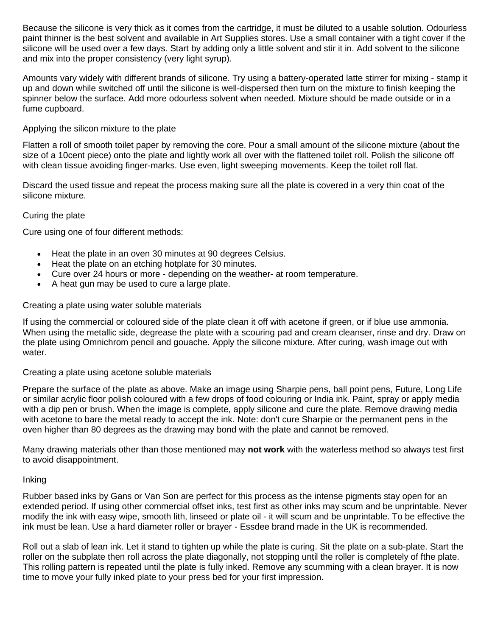Because the silicone is very thick as it comes from the cartridge, it must be diluted to a usable solution. Odourless paint thinner is the best solvent and available in Art Supplies stores. Use a small container with a tight cover if the silicone will be used over a few days. Start by adding only a little solvent and stir it in. Add solvent to the silicone and mix into the proper consistency (very light syrup).

Amounts vary widely with different brands of silicone. Try using a battery-operated latte stirrer for mixing - stamp it up and down while switched off until the silicone is well-dispersed then turn on the mixture to finish keeping the spinner below the surface. Add more odourless solvent when needed. Mixture should be made outside or in a fume cupboard.

## Applying the silicon mixture to the plate

Flatten a roll of smooth toilet paper by removing the core. Pour a small amount of the silicone mixture (about the size of a 10cent piece) onto the plate and lightly work all over with the flattened toilet roll. Polish the silicone off with clean tissue avoiding finger-marks. Use even, light sweeping movements. Keep the toilet roll flat.

Discard the used tissue and repeat the process making sure all the plate is covered in a very thin coat of the silicone mixture.

# Curing the plate

Cure using one of four different methods:

- Heat the plate in an oven 30 minutes at 90 degrees Celsius.
- Heat the plate on an etching hotplate for 30 minutes.
- Cure over 24 hours or more depending on the weather- at room temperature.
- A heat gun may be used to cure a large plate.

## Creating a plate using water soluble materials

If using the commercial or coloured side of the plate clean it off with acetone if green, or if blue use ammonia. When using the metallic side, degrease the plate with a scouring pad and cream cleanser, rinse and dry. Draw on the plate using Omnichrom pencil and gouache. Apply the silicone mixture. After curing, wash image out with water.

## Creating a plate using acetone soluble materials

Prepare the surface of the plate as above. Make an image using Sharpie pens, ball point pens, Future, Long Life or similar acrylic floor polish coloured with a few drops of food colouring or India ink. Paint, spray or apply media with a dip pen or brush. When the image is complete, apply silicone and cure the plate. Remove drawing media with acetone to bare the metal ready to accept the ink. Note: don't cure Sharpie or the permanent pens in the oven higher than 80 degrees as the drawing may bond with the plate and cannot be removed.

Many drawing materials other than those mentioned may **not work** with the waterless method so always test first to avoid disappointment.

## Inking

Rubber based inks by Gans or Van Son are perfect for this process as the intense pigments stay open for an extended period. If using other commercial offset inks, test first as other inks may scum and be unprintable. Never modify the ink with easy wipe, smooth lith, linseed or plate oil - it will scum and be unprintable. To be effective the ink must be lean. Use a hard diameter roller or brayer - Essdee brand made in the UK is recommended.

Roll out a slab of lean ink. Let it stand to tighten up while the plate is curing. Sit the plate on a sub-plate. Start the roller on the subplate then roll across the plate diagonally, not stopping until the roller is completely of fthe plate. This rolling pattern is repeated until the plate is fully inked. Remove any scumming with a clean brayer. It is now time to move your fully inked plate to your press bed for your first impression.